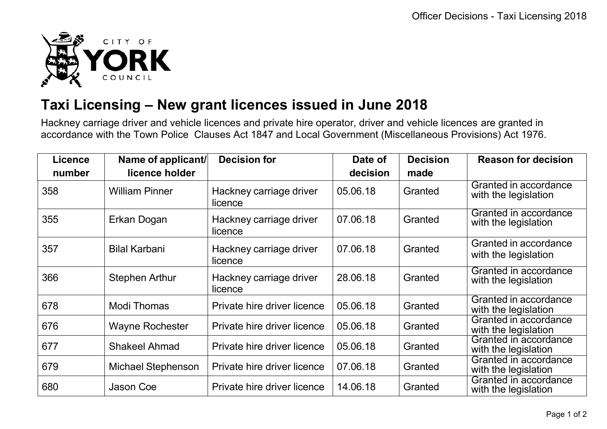

## **Taxi Licensing – New grant licences issued in June 2018**

Hackney carriage driver and vehicle licences and private hire operator, driver and vehicle licences are granted in accordance with the Town Police Clauses Act 1847 and Local Government (Miscellaneous Provisions) Act 1976.

| <b>Licence</b> | Name of applicant/        | <b>Decision for</b>                | Date of  | <b>Decision</b> | <b>Reason for decision</b>                    |
|----------------|---------------------------|------------------------------------|----------|-----------------|-----------------------------------------------|
| number         | licence holder            |                                    | decision | made            |                                               |
| 358            | <b>William Pinner</b>     | Hackney carriage driver<br>licence | 05.06.18 | Granted         | Granted in accordance<br>with the legislation |
| 355            | Erkan Dogan               | Hackney carriage driver<br>licence | 07.06.18 | Granted         | Granted in accordance<br>with the legislation |
| 357            | <b>Bilal Karbani</b>      | Hackney carriage driver<br>licence | 07.06.18 | Granted         | Granted in accordance<br>with the legislation |
| 366            | <b>Stephen Arthur</b>     | Hackney carriage driver<br>licence | 28.06.18 | Granted         | Granted in accordance<br>with the legislation |
| 678            | Modi Thomas               | Private hire driver licence        | 05.06.18 | Granted         | Granted in accordance<br>with the legislation |
| 676            | <b>Wayne Rochester</b>    | Private hire driver licence        | 05.06.18 | Granted         | Granted in accordance<br>with the legislation |
| 677            | <b>Shakeel Ahmad</b>      | Private hire driver licence        | 05.06.18 | Granted         | Granted in accordance<br>with the legislation |
| 679            | <b>Michael Stephenson</b> | Private hire driver licence        | 07.06.18 | Granted         | Granted in accordance<br>with the legislation |
| 680            | Jason Coe                 | Private hire driver licence        | 14.06.18 | Granted         | Granted in accordance<br>with the legislation |